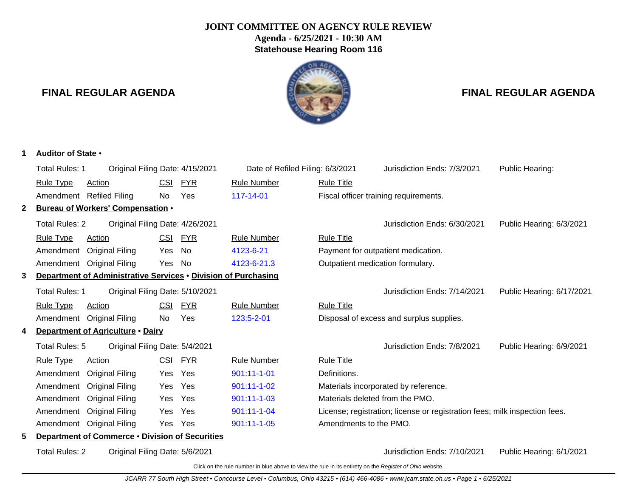# **JOINT COMMITTEE ON AGENCY RULE REVIEW Agenda - 6/25/2021 - 10:30 AM Statehouse Hearing Room 116**



Click on the rule number in blue above to view the rule in its entirety on the Register of Ohio website.

# **FINAL REGULAR AGENDA FINAL REGULAR AGENDA**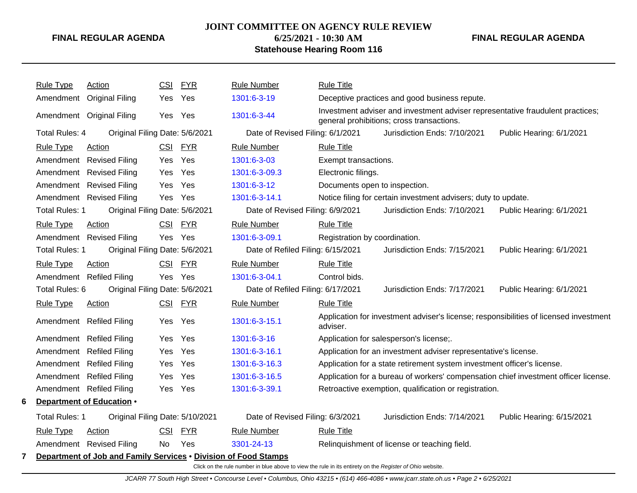# **JOINT COMMITTEE ON AGENCY RULE REVIEW**

# **6/25/2021 - 10:30 AM Statehouse Hearing Room 116**

**FINAL REGULAR AGENDA**

|   | <b>Rule Type</b>      | Action                                                          | <b>CSI</b> | <b>FYR</b> | <b>Rule Number</b>                | <b>Rule Title</b>             |                                                                                                                             |                                                                                       |
|---|-----------------------|-----------------------------------------------------------------|------------|------------|-----------------------------------|-------------------------------|-----------------------------------------------------------------------------------------------------------------------------|---------------------------------------------------------------------------------------|
|   |                       | Amendment Original Filing                                       | Yes        | Yes        | 1301:6-3-19                       |                               | Deceptive practices and good business repute.                                                                               |                                                                                       |
|   |                       | Amendment Original Filing                                       | Yes Yes    |            | 1301:6-3-44                       |                               | Investment adviser and investment adviser representative fraudulent practices;<br>general prohibitions; cross transactions. |                                                                                       |
|   | <b>Total Rules: 4</b> | Original Filing Date: 5/6/2021                                  |            |            | Date of Revised Filing: 6/1/2021  |                               | Jurisdiction Ends: 7/10/2021                                                                                                | Public Hearing: 6/1/2021                                                              |
|   | <b>Rule Type</b>      | Action                                                          |            | CSI FYR    | <b>Rule Number</b>                | <b>Rule Title</b>             |                                                                                                                             |                                                                                       |
|   |                       | Amendment Revised Filing                                        | Yes        | Yes        | 1301:6-3-03                       | Exempt transactions.          |                                                                                                                             |                                                                                       |
|   |                       | Amendment Revised Filing                                        | Yes        | Yes        | 1301:6-3-09.3                     | Electronic filings.           |                                                                                                                             |                                                                                       |
|   |                       | Amendment Revised Filing                                        | Yes.       | Yes        | 1301:6-3-12                       | Documents open to inspection. |                                                                                                                             |                                                                                       |
|   |                       | Amendment Revised Filing                                        | Yes Yes    |            | 1301:6-3-14.1                     |                               | Notice filing for certain investment advisers; duty to update.                                                              |                                                                                       |
|   | <b>Total Rules: 1</b> | Original Filing Date: 5/6/2021                                  |            |            | Date of Revised Filing: 6/9/2021  |                               | Jurisdiction Ends: 7/10/2021                                                                                                | Public Hearing: 6/1/2021                                                              |
|   | <b>Rule Type</b>      | Action                                                          |            | CSI FYR    | <b>Rule Number</b>                | <b>Rule Title</b>             |                                                                                                                             |                                                                                       |
|   |                       | Amendment Revised Filing                                        |            | Yes Yes    | 1301:6-3-09.1                     | Registration by coordination. |                                                                                                                             |                                                                                       |
|   | <b>Total Rules: 1</b> | Original Filing Date: 5/6/2021                                  |            |            | Date of Refiled Filing: 6/15/2021 |                               | Jurisdiction Ends: 7/15/2021                                                                                                | Public Hearing: 6/1/2021                                                              |
|   | <b>Rule Type</b>      | Action                                                          | <b>CSI</b> | <u>FYR</u> | <b>Rule Number</b>                | <b>Rule Title</b>             |                                                                                                                             |                                                                                       |
|   |                       | Amendment Refiled Filing                                        |            | Yes Yes    | 1301:6-3-04.1                     | Control bids.                 |                                                                                                                             |                                                                                       |
|   | Total Rules: 6        | Original Filing Date: 5/6/2021                                  |            |            | Date of Refiled Filing: 6/17/2021 |                               | Jurisdiction Ends: 7/17/2021                                                                                                | Public Hearing: 6/1/2021                                                              |
|   | <b>Rule Type</b>      | <b>Action</b>                                                   |            | CSI FYR    | <b>Rule Number</b>                | <b>Rule Title</b>             |                                                                                                                             |                                                                                       |
|   |                       | Amendment Refiled Filing                                        | Yes        | Yes        | 1301:6-3-15.1                     | adviser.                      |                                                                                                                             | Application for investment adviser's license; responsibilities of licensed investment |
|   |                       | Amendment Refiled Filing                                        | Yes.       | Yes        | 1301:6-3-16                       |                               | Application for salesperson's license;.                                                                                     |                                                                                       |
|   |                       | Amendment Refiled Filing                                        | Yes.       | Yes        | 1301:6-3-16.1                     |                               | Application for an investment adviser representative's license.                                                             |                                                                                       |
|   |                       | Amendment Refiled Filing                                        | Yes.       | Yes        | 1301:6-3-16.3                     |                               | Application for a state retirement system investment officer's license.                                                     |                                                                                       |
|   |                       | Amendment Refiled Filing                                        | Yes        | Yes        | 1301:6-3-16.5                     |                               |                                                                                                                             | Application for a bureau of workers' compensation chief investment officer license.   |
|   |                       | Amendment Refiled Filing                                        | Yes        | Yes        | 1301:6-3-39.1                     |                               | Retroactive exemption, qualification or registration.                                                                       |                                                                                       |
| 6 |                       | Department of Education .                                       |            |            |                                   |                               |                                                                                                                             |                                                                                       |
|   | <b>Total Rules: 1</b> | Original Filing Date: 5/10/2021                                 |            |            | Date of Revised Filing: 6/3/2021  |                               | Jurisdiction Ends: 7/14/2021                                                                                                | Public Hearing: 6/15/2021                                                             |
|   | <b>Rule Type</b>      | Action                                                          | CSI        | <b>FYR</b> | <b>Rule Number</b>                | <b>Rule Title</b>             |                                                                                                                             |                                                                                       |
|   |                       | Amendment Revised Filing                                        | No         | Yes        | 3301-24-13                        |                               | Relinquishment of license or teaching field.                                                                                |                                                                                       |
|   |                       | Department of Job and Family Services . Division of Food Stamps |            |            |                                   |                               |                                                                                                                             |                                                                                       |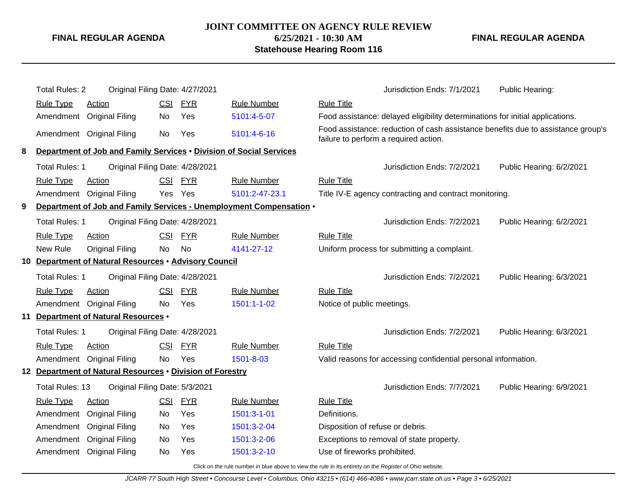# **JOINT COMMITTEE ON AGENCY RULE REVIEW 6/25/2021 - 10:30 AM Statehouse Hearing Room 116**

**FINAL REGULAR AGENDA**

|   | <b>Total Rules: 2</b> | Original Filing Date: 4/27/2021                                     |            |            |                                                                     |                                  | Jurisdiction Ends: 7/1/2021                                                                                               | Public Hearing:          |
|---|-----------------------|---------------------------------------------------------------------|------------|------------|---------------------------------------------------------------------|----------------------------------|---------------------------------------------------------------------------------------------------------------------------|--------------------------|
|   | <b>Rule Type</b>      | <b>Action</b>                                                       | <b>CSI</b> | <u>FYR</u> | <b>Rule Number</b>                                                  | <b>Rule Title</b>                |                                                                                                                           |                          |
|   | Amendment             | <b>Original Filing</b>                                              | No         | Yes        | 5101:4-5-07                                                         |                                  | Food assistance: delayed eligibility determinations for initial applications.                                             |                          |
|   |                       | Amendment Original Filing                                           | No         | Yes        | 5101:4-6-16                                                         |                                  | Food assistance: reduction of cash assistance benefits due to assistance group's<br>failure to perform a required action. |                          |
| 8 |                       | Department of Job and Family Services . Division of Social Services |            |            |                                                                     |                                  |                                                                                                                           |                          |
|   | <b>Total Rules: 1</b> | Original Filing Date: 4/28/2021                                     |            |            |                                                                     |                                  | Jurisdiction Ends: 7/2/2021                                                                                               | Public Hearing: 6/2/2021 |
|   | <b>Rule Type</b>      | Action                                                              |            | CSI FYR    | <b>Rule Number</b>                                                  | <b>Rule Title</b>                |                                                                                                                           |                          |
|   |                       | Amendment Original Filing                                           |            | Yes Yes    | 5101:2-47-23.1                                                      |                                  | Title IV-E agency contracting and contract monitoring.                                                                    |                          |
| 9 |                       |                                                                     |            |            | Department of Job and Family Services - Unemployment Compensation . |                                  |                                                                                                                           |                          |
|   | <b>Total Rules: 1</b> | Original Filing Date: 4/28/2021                                     |            |            |                                                                     |                                  | Jurisdiction Ends: 7/2/2021                                                                                               | Public Hearing: 6/2/2021 |
|   | <b>Rule Type</b>      | <b>Action</b>                                                       |            | CSI FYR    | <b>Rule Number</b>                                                  | <b>Rule Title</b>                |                                                                                                                           |                          |
|   | New Rule              | <b>Original Filing</b>                                              | No         | No         | 4141-27-12                                                          |                                  | Uniform process for submitting a complaint.                                                                               |                          |
|   |                       | 10 Department of Natural Resources . Advisory Council               |            |            |                                                                     |                                  |                                                                                                                           |                          |
|   | <b>Total Rules: 1</b> | Original Filing Date: 4/28/2021                                     |            |            |                                                                     |                                  | Jurisdiction Ends: 7/2/2021                                                                                               | Public Hearing: 6/3/2021 |
|   | <b>Rule Type</b>      | <b>Action</b>                                                       | <u>CSI</u> | <u>FYR</u> | <b>Rule Number</b>                                                  | <b>Rule Title</b>                |                                                                                                                           |                          |
|   |                       | Amendment Original Filing                                           | No         | Yes        | 1501:1-1-02                                                         | Notice of public meetings.       |                                                                                                                           |                          |
|   |                       | 11 Department of Natural Resources .                                |            |            |                                                                     |                                  |                                                                                                                           |                          |
|   | Total Rules: 1        | Original Filing Date: 4/28/2021                                     |            |            |                                                                     |                                  | Jurisdiction Ends: 7/2/2021                                                                                               | Public Hearing: 6/3/2021 |
|   | <b>Rule Type</b>      | Action                                                              |            | CSI FYR    | <b>Rule Number</b>                                                  | <b>Rule Title</b>                |                                                                                                                           |                          |
|   | Amendment             | <b>Original Filing</b>                                              | No         | Yes        | 1501-8-03                                                           |                                  | Valid reasons for accessing confidential personal information.                                                            |                          |
|   |                       | 12 Department of Natural Resources . Division of Forestry           |            |            |                                                                     |                                  |                                                                                                                           |                          |
|   | Total Rules: 13       | Original Filing Date: 5/3/2021                                      |            |            |                                                                     |                                  | Jurisdiction Ends: 7/7/2021                                                                                               | Public Hearing: 6/9/2021 |
|   | <b>Rule Type</b>      | <b>Action</b>                                                       | CSI        | <b>FYR</b> | <b>Rule Number</b>                                                  | <b>Rule Title</b>                |                                                                                                                           |                          |
|   | Amendment             | <b>Original Filing</b>                                              | No         | Yes        | 1501:3-1-01                                                         | Definitions.                     |                                                                                                                           |                          |
|   | Amendment             | <b>Original Filing</b>                                              | No         | Yes        | 1501:3-2-04                                                         | Disposition of refuse or debris. |                                                                                                                           |                          |
|   | Amendment             | <b>Original Filing</b>                                              | No         | Yes        | 1501:3-2-06                                                         |                                  | Exceptions to removal of state property.                                                                                  |                          |
|   | Amendment             | <b>Original Filing</b>                                              | No         | Yes        | 1501:3-2-10                                                         | Use of fireworks prohibited.     |                                                                                                                           |                          |
|   |                       |                                                                     |            |            | $\mathbf{r}$ , and the set of the set of $\mathbf{r}$               |                                  |                                                                                                                           |                          |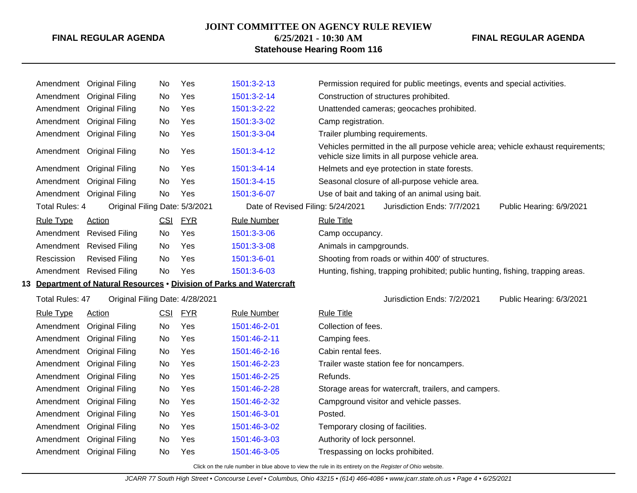## **JOINT COMMITTEE ON AGENCY RULE REVIEW**

# **6/25/2021 - 10:30 AM Statehouse Hearing Room 116**

#### **FINAL REGULAR AGENDA**

|                  | Amendment Original Filing                                             | No. | Yes        | 1501:3-2-13                       | Permission required for public meetings, events and special activities.                                                               |
|------------------|-----------------------------------------------------------------------|-----|------------|-----------------------------------|---------------------------------------------------------------------------------------------------------------------------------------|
|                  | Amendment Original Filing                                             | No  | Yes        | 1501:3-2-14                       | Construction of structures prohibited.                                                                                                |
|                  | Amendment Original Filing                                             | No  | Yes        | 1501:3-2-22                       | Unattended cameras; geocaches prohibited.                                                                                             |
|                  | Amendment Original Filing                                             | No  | Yes        | 1501:3-3-02                       | Camp registration.                                                                                                                    |
|                  | Amendment Original Filing                                             | No  | Yes        | 1501:3-3-04                       | Trailer plumbing requirements.                                                                                                        |
|                  | Amendment Original Filing                                             | No  | Yes        | 1501:3-4-12                       | Vehicles permitted in the all purpose vehicle area; vehicle exhaust requirements;<br>vehicle size limits in all purpose vehicle area. |
|                  | Amendment Original Filing                                             | No  | Yes        | 1501:3-4-14                       | Helmets and eye protection in state forests.                                                                                          |
|                  | Amendment Original Filing                                             | No  | Yes        | 1501:3-4-15                       | Seasonal closure of all-purpose vehicle area.                                                                                         |
|                  | Amendment Original Filing                                             | No  | Yes        | 1501:3-6-07                       | Use of bait and taking of an animal using bait.                                                                                       |
| Total Rules: 4   | Original Filing Date: 5/3/2021                                        |     |            | Date of Revised Filing: 5/24/2021 | Jurisdiction Ends: 7/7/2021<br>Public Hearing: 6/9/2021                                                                               |
| <b>Rule Type</b> | <b>Action</b>                                                         | CSI | <b>FYR</b> | <b>Rule Number</b>                | <b>Rule Title</b>                                                                                                                     |
|                  | Amendment Revised Filing                                              | No  | Yes        | 1501:3-3-06                       | Camp occupancy.                                                                                                                       |
|                  | Amendment Revised Filing                                              | No  | Yes        | 1501:3-3-08                       | Animals in campgrounds.                                                                                                               |
| Rescission       | <b>Revised Filing</b>                                                 | No  | Yes        | 1501:3-6-01                       | Shooting from roads or within 400' of structures.                                                                                     |
|                  | Amendment Revised Filing                                              | No  | Yes        | 1501:3-6-03                       | Hunting, fishing, trapping prohibited; public hunting, fishing, trapping areas.                                                       |
|                  | 13 Department of Natural Resources . Division of Parks and Watercraft |     |            |                                   |                                                                                                                                       |
| Total Rules: 47  | Original Filing Date: 4/28/2021                                       |     |            |                                   | Jurisdiction Ends: 7/2/2021<br>Public Hearing: 6/3/2021                                                                               |
| <b>Rule Type</b> | <b>Action</b>                                                         | CSI | <b>FYR</b> | <b>Rule Number</b>                | <b>Rule Title</b>                                                                                                                     |
|                  | Amendment Original Filing                                             | No  | Yes        | 1501:46-2-01                      | Collection of fees.                                                                                                                   |
|                  | Amendment Original Filing                                             | No  | Yes        | 1501:46-2-11                      | Camping fees.                                                                                                                         |
| Amendment        | <b>Original Filing</b>                                                | No  | Yes        | 1501:46-2-16                      | Cabin rental fees.                                                                                                                    |
| Amendment        | <b>Original Filing</b>                                                | No  | Yes        | 1501:46-2-23                      | Trailer waste station fee for noncampers.                                                                                             |
|                  | Amendment Original Filing                                             | No  | Yes        | 1501:46-2-25                      | Refunds.                                                                                                                              |
| Amendment        | <b>Original Filing</b>                                                | No  | Yes        | 1501:46-2-28                      | Storage areas for watercraft, trailers, and campers.                                                                                  |
| Amendment        | <b>Original Filing</b>                                                | No  | Yes        | 1501:46-2-32                      | Campground visitor and vehicle passes.                                                                                                |
| Amendment        | <b>Original Filing</b>                                                | No  | Yes        | 1501:46-3-01                      | Posted.                                                                                                                               |
|                  | Amendment Original Filing                                             | No  | Yes        | 1501:46-3-02                      | Temporary closing of facilities.                                                                                                      |
| Amendment        | <b>Original Filing</b>                                                | No  | Yes        | 1501:46-3-03                      | Authority of lock personnel.                                                                                                          |
|                  | Amendment Original Filing                                             | No  | Yes        | 1501:46-3-05                      | Trespassing on locks prohibited.                                                                                                      |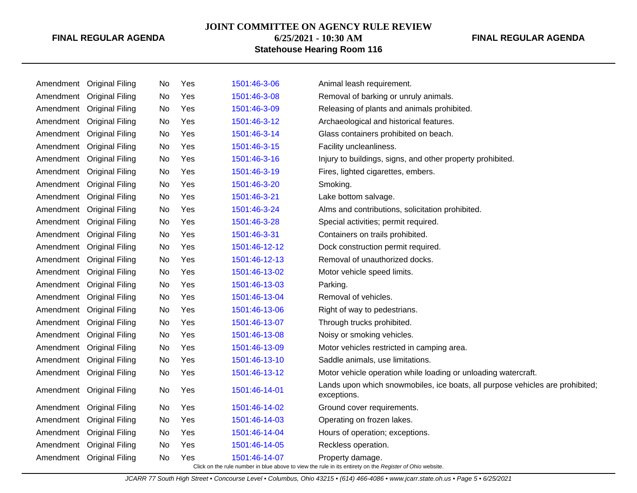#### **JOINT COMMITTEE ON AGENCY RULE REVIEW**

**6/25/2021 - 10:30 AM**

## **FINAL REGULAR AGENDA**

**Statehouse Hearing Room 116**

|           | Amendment Original Filing | No | Yes | 1501:46-3-06  | Animal leash requirement.                                                                    |
|-----------|---------------------------|----|-----|---------------|----------------------------------------------------------------------------------------------|
| Amendment | <b>Original Filing</b>    | No | Yes | 1501:46-3-08  | Removal of barking or unruly animals.                                                        |
| Amendment | <b>Original Filing</b>    | No | Yes | 1501:46-3-09  | Releasing of plants and animals prohibited.                                                  |
| Amendment | <b>Original Filing</b>    | No | Yes | 1501:46-3-12  | Archaeological and historical features.                                                      |
| Amendment | <b>Original Filing</b>    | No | Yes | 1501:46-3-14  | Glass containers prohibited on beach.                                                        |
| Amendment | <b>Original Filing</b>    | No | Yes | 1501:46-3-15  | Facility uncleanliness.                                                                      |
| Amendment | <b>Original Filing</b>    | No | Yes | 1501:46-3-16  | Injury to buildings, signs, and other property prohibited.                                   |
| Amendment | <b>Original Filing</b>    | No | Yes | 1501:46-3-19  | Fires, lighted cigarettes, embers.                                                           |
| Amendment | <b>Original Filing</b>    | No | Yes | 1501:46-3-20  | Smoking.                                                                                     |
| Amendment | <b>Original Filing</b>    | No | Yes | 1501:46-3-21  | Lake bottom salvage.                                                                         |
| Amendment | <b>Original Filing</b>    | No | Yes | 1501:46-3-24  | Alms and contributions, solicitation prohibited.                                             |
| Amendment | <b>Original Filing</b>    | No | Yes | 1501:46-3-28  | Special activities; permit required.                                                         |
| Amendment | <b>Original Filing</b>    | No | Yes | 1501:46-3-31  | Containers on trails prohibited.                                                             |
| Amendment | <b>Original Filing</b>    | No | Yes | 1501:46-12-12 | Dock construction permit required.                                                           |
| Amendment | <b>Original Filing</b>    | No | Yes | 1501:46-12-13 | Removal of unauthorized docks.                                                               |
| Amendment | <b>Original Filing</b>    | No | Yes | 1501:46-13-02 | Motor vehicle speed limits.                                                                  |
| Amendment | <b>Original Filing</b>    | No | Yes | 1501:46-13-03 | Parking.                                                                                     |
| Amendment | <b>Original Filing</b>    | No | Yes | 1501:46-13-04 | Removal of vehicles.                                                                         |
| Amendment | <b>Original Filing</b>    | No | Yes | 1501:46-13-06 | Right of way to pedestrians.                                                                 |
| Amendment | <b>Original Filing</b>    | No | Yes | 1501:46-13-07 | Through trucks prohibited.                                                                   |
| Amendment | <b>Original Filing</b>    | No | Yes | 1501:46-13-08 | Noisy or smoking vehicles.                                                                   |
| Amendment | <b>Original Filing</b>    | No | Yes | 1501:46-13-09 | Motor vehicles restricted in camping area.                                                   |
| Amendment | <b>Original Filing</b>    | No | Yes | 1501:46-13-10 | Saddle animals, use limitations.                                                             |
|           | Amendment Original Filing | No | Yes | 1501:46-13-12 | Motor vehicle operation while loading or unloading watercraft.                               |
|           | Amendment Original Filing | No | Yes | 1501:46-14-01 | Lands upon which snowmobiles, ice boats, all purpose vehicles are prohibited;<br>exceptions. |
| Amendment | <b>Original Filing</b>    | No | Yes | 1501:46-14-02 | Ground cover requirements.                                                                   |
| Amendment | <b>Original Filing</b>    | No | Yes | 1501:46-14-03 | Operating on frozen lakes.                                                                   |
| Amendment | <b>Original Filing</b>    | No | Yes | 1501:46-14-04 | Hours of operation; exceptions.                                                              |
| Amendment | <b>Original Filing</b>    | No | Yes | 1501:46-14-05 | Reckless operation.                                                                          |
|           | Amendment Original Filing | No | Yes | 1501:46-14-07 | Property damage.                                                                             |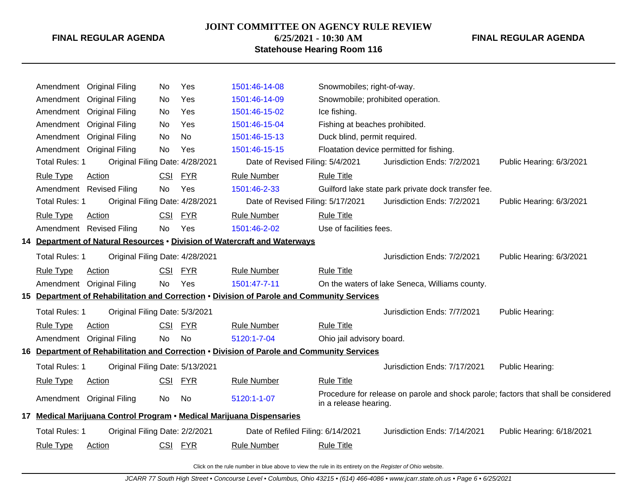**JOINT COMMITTEE ON AGENCY RULE REVIEW**

**FINAL REGULAR AGENDA**

# **6/25/2021 - 10:30 AM Statehouse Hearing Room 116**

**FINAL REGULAR AGENDA**

|                       | Amendment Original Filing       | No         | Yes        | 1501:46-14-08                                                                              | Snowmobiles; right-of-way.     |                                                                                    |                           |
|-----------------------|---------------------------------|------------|------------|--------------------------------------------------------------------------------------------|--------------------------------|------------------------------------------------------------------------------------|---------------------------|
| Amendment             | <b>Original Filing</b>          | No         | Yes        | 1501:46-14-09                                                                              |                                | Snowmobile; prohibited operation.                                                  |                           |
|                       | Amendment Original Filing       | No         | Yes        | 1501:46-15-02                                                                              | Ice fishing.                   |                                                                                    |                           |
|                       | Amendment Original Filing       | No.        | Yes        | 1501:46-15-04                                                                              | Fishing at beaches prohibited. |                                                                                    |                           |
| Amendment             | <b>Original Filing</b>          | No         | No         | 1501:46-15-13                                                                              | Duck blind, permit required.   |                                                                                    |                           |
| Amendment             | <b>Original Filing</b>          | <b>No</b>  | Yes        | 1501:46-15-15                                                                              |                                | Floatation device permitted for fishing.                                           |                           |
| <b>Total Rules: 1</b> | Original Filing Date: 4/28/2021 |            |            | Date of Revised Filing: 5/4/2021                                                           |                                | Jurisdiction Ends: 7/2/2021                                                        | Public Hearing: 6/3/2021  |
| <b>Rule Type</b>      | Action                          | <b>CSI</b> | <b>FYR</b> | <b>Rule Number</b>                                                                         | <b>Rule Title</b>              |                                                                                    |                           |
|                       | Amendment Revised Filing        | <b>No</b>  | Yes        | 1501:46-2-33                                                                               |                                | Guilford lake state park private dock transfer fee.                                |                           |
| <b>Total Rules: 1</b> | Original Filing Date: 4/28/2021 |            |            | Date of Revised Filing: 5/17/2021                                                          |                                | Jurisdiction Ends: 7/2/2021                                                        | Public Hearing: 6/3/2021  |
| <b>Rule Type</b>      | Action                          | <b>CSI</b> | <u>FYR</u> | <b>Rule Number</b>                                                                         | <b>Rule Title</b>              |                                                                                    |                           |
|                       | Amendment Revised Filing        | No         | Yes        | 1501:46-2-02                                                                               | Use of facilities fees.        |                                                                                    |                           |
|                       |                                 |            |            | 14 Department of Natural Resources . Division of Watercraft and Waterways                  |                                |                                                                                    |                           |
| Total Rules: 1        | Original Filing Date: 4/28/2021 |            |            |                                                                                            |                                | Jurisdiction Ends: 7/2/2021                                                        | Public Hearing: 6/3/2021  |
| <b>Rule Type</b>      | Action                          | <b>CSI</b> | <b>FYR</b> | <b>Rule Number</b>                                                                         | <b>Rule Title</b>              |                                                                                    |                           |
|                       | Amendment Original Filing       | <b>No</b>  | Yes        | 1501:47-7-11                                                                               |                                | On the waters of lake Seneca, Williams county.                                     |                           |
|                       |                                 |            |            | 15 Department of Rehabilitation and Correction . Division of Parole and Community Services |                                |                                                                                    |                           |
| <b>Total Rules: 1</b> | Original Filing Date: 5/3/2021  |            |            |                                                                                            |                                | Jurisdiction Ends: 7/7/2021                                                        | Public Hearing:           |
| <b>Rule Type</b>      | Action                          | <b>CSI</b> | <b>FYR</b> | <b>Rule Number</b>                                                                         | <b>Rule Title</b>              |                                                                                    |                           |
|                       | Amendment Original Filing       | <b>No</b>  | <b>No</b>  | 5120:1-7-04                                                                                | Ohio jail advisory board.      |                                                                                    |                           |
|                       |                                 |            |            | 16 Department of Rehabilitation and Correction . Division of Parole and Community Services |                                |                                                                                    |                           |
| <b>Total Rules: 1</b> | Original Filing Date: 5/13/2021 |            |            |                                                                                            |                                | Jurisdiction Ends: 7/17/2021                                                       | Public Hearing:           |
| <b>Rule Type</b>      | <b>Action</b>                   | <u>CSI</u> | <b>FYR</b> | <b>Rule Number</b>                                                                         | <b>Rule Title</b>              |                                                                                    |                           |
|                       | Amendment Original Filing       | No         | No         | 5120:1-1-07                                                                                | in a release hearing.          | Procedure for release on parole and shock parole; factors that shall be considered |                           |
|                       |                                 |            |            | 17 Medical Marijuana Control Program • Medical Marijuana Dispensaries                      |                                |                                                                                    |                           |
| <b>Total Rules: 1</b> | Original Filing Date: 2/2/2021  |            |            | Date of Refiled Filing: 6/14/2021                                                          |                                | Jurisdiction Ends: 7/14/2021                                                       | Public Hearing: 6/18/2021 |
| <b>Rule Type</b>      | Action                          |            | CSI FYR    | <b>Rule Number</b>                                                                         | <b>Rule Title</b>              |                                                                                    |                           |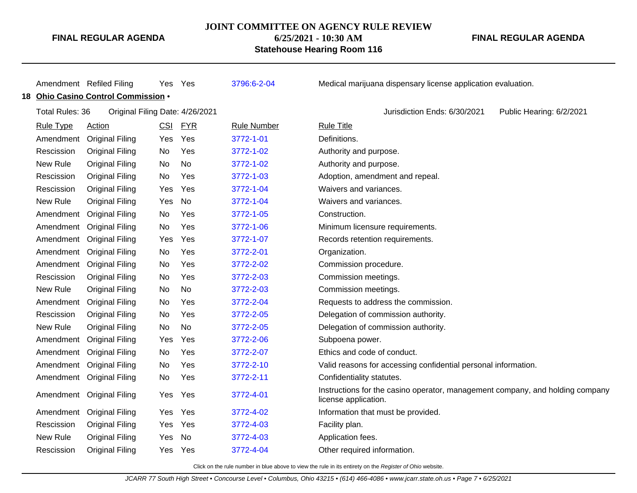#### **JOINT COMMITTEE ON AGENCY RULE REVIEW**

**6/25/2021 - 10:30 AM**

## **FINAL REGULAR AGENDA**

**Statehouse Hearing Room 116**

|                        | Amendment Refiled Filing            | Yes        | Yes                             | 3796:6-2-04        | Medical marijuana dispensary license application evaluation.                                          |
|------------------------|-------------------------------------|------------|---------------------------------|--------------------|-------------------------------------------------------------------------------------------------------|
|                        | 18 Ohio Casino Control Commission . |            |                                 |                    |                                                                                                       |
| <b>Total Rules: 36</b> |                                     |            | Original Filing Date: 4/26/2021 |                    | Jurisdiction Ends: 6/30/2021<br>Public Hearing: 6/2/2021                                              |
| <b>Rule Type</b>       | <b>Action</b>                       | <u>CSI</u> | <b>FYR</b>                      | <b>Rule Number</b> | <b>Rule Title</b>                                                                                     |
|                        | Amendment Original Filing           | Yes        | Yes                             | 3772-1-01          | Definitions.                                                                                          |
| Rescission             | <b>Original Filing</b>              | No         | Yes                             | 3772-1-02          | Authority and purpose.                                                                                |
| New Rule               | <b>Original Filing</b>              | No         | <b>No</b>                       | 3772-1-02          | Authority and purpose.                                                                                |
| Rescission             | <b>Original Filing</b>              | No         | Yes                             | 3772-1-03          | Adoption, amendment and repeal.                                                                       |
| Rescission             | <b>Original Filing</b>              | Yes        | Yes                             | 3772-1-04          | Waivers and variances.                                                                                |
| New Rule               | <b>Original Filing</b>              | Yes        | No                              | 3772-1-04          | Waivers and variances.                                                                                |
|                        | Amendment Original Filing           | No         | Yes                             | 3772-1-05          | Construction.                                                                                         |
|                        | Amendment Original Filing           | No         | Yes                             | 3772-1-06          | Minimum licensure requirements.                                                                       |
|                        | Amendment Original Filing           | Yes        | Yes                             | 3772-1-07          | Records retention requirements.                                                                       |
|                        | Amendment Original Filing           | No         | Yes                             | 3772-2-01          | Organization.                                                                                         |
|                        | Amendment Original Filing           | No         | Yes                             | 3772-2-02          | Commission procedure.                                                                                 |
| Rescission             | <b>Original Filing</b>              | No         | Yes                             | 3772-2-03          | Commission meetings.                                                                                  |
| New Rule               | <b>Original Filing</b>              | No         | No                              | 3772-2-03          | Commission meetings.                                                                                  |
|                        | Amendment Original Filing           | No         | Yes                             | 3772-2-04          | Requests to address the commission.                                                                   |
| Rescission             | <b>Original Filing</b>              | No         | Yes                             | 3772-2-05          | Delegation of commission authority.                                                                   |
| New Rule               | <b>Original Filing</b>              | No         | No                              | 3772-2-05          | Delegation of commission authority.                                                                   |
|                        | Amendment Original Filing           | Yes        | Yes                             | 3772-2-06          | Subpoena power.                                                                                       |
|                        | Amendment Original Filing           | No         | Yes                             | 3772-2-07          | Ethics and code of conduct.                                                                           |
|                        | Amendment Original Filing           | No         | Yes                             | 3772-2-10          | Valid reasons for accessing confidential personal information.                                        |
|                        | Amendment Original Filing           | No         | Yes                             | 3772-2-11          | Confidentiality statutes.                                                                             |
|                        | Amendment Original Filing           | Yes        | Yes                             | 3772-4-01          | Instructions for the casino operator, management company, and holding company<br>license application. |
|                        | Amendment Original Filing           | Yes        | Yes                             | 3772-4-02          | Information that must be provided.                                                                    |
| Rescission             | <b>Original Filing</b>              | Yes        | Yes                             | 3772-4-03          | Facility plan.                                                                                        |
| New Rule               | <b>Original Filing</b>              | Yes        | No                              | 3772-4-03          | Application fees.                                                                                     |
| Rescission             | <b>Original Filing</b>              | Yes        | Yes                             | 3772-4-04          | Other required information.                                                                           |
|                        |                                     |            |                                 |                    |                                                                                                       |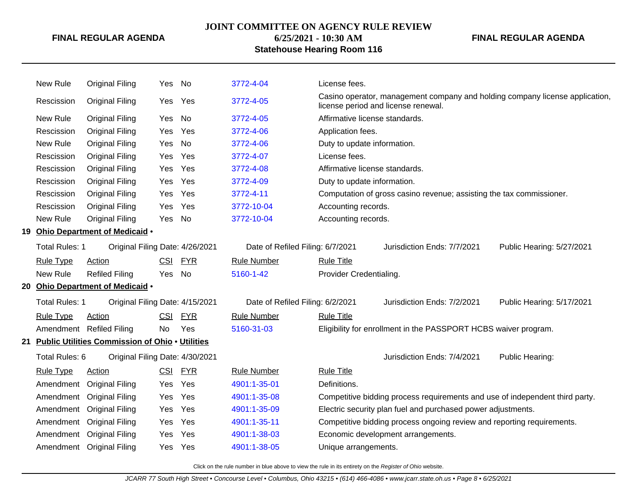# **JOINT COMMITTEE ON AGENCY RULE REVIEW**

**6/25/2021 - 10:30 AM Statehouse Hearing Room 116** **FINAL REGULAR AGENDA**

|    | New Rule              | <b>Original Filing</b>                             | Yes        | No         | 3772-4-04                        | License fees.                  |                                                                              |                                                                              |
|----|-----------------------|----------------------------------------------------|------------|------------|----------------------------------|--------------------------------|------------------------------------------------------------------------------|------------------------------------------------------------------------------|
|    | Rescission            | <b>Original Filing</b>                             | Yes        | Yes        | 3772-4-05                        |                                | license period and license renewal.                                          | Casino operator, management company and holding company license application, |
|    | New Rule              | <b>Original Filing</b>                             | Yes        | No         | 3772-4-05                        | Affirmative license standards. |                                                                              |                                                                              |
|    | Rescission            | <b>Original Filing</b>                             | Yes        | Yes        | 3772-4-06                        | Application fees.              |                                                                              |                                                                              |
|    | New Rule              | <b>Original Filing</b>                             | Yes        | No         | 3772-4-06                        | Duty to update information.    |                                                                              |                                                                              |
|    | Rescission            | <b>Original Filing</b>                             | Yes        | Yes        | 3772-4-07                        | License fees.                  |                                                                              |                                                                              |
|    | Rescission            | <b>Original Filing</b>                             | Yes        | Yes        | 3772-4-08                        | Affirmative license standards. |                                                                              |                                                                              |
|    | Rescission            | <b>Original Filing</b>                             | Yes        | Yes        | 3772-4-09                        | Duty to update information.    |                                                                              |                                                                              |
|    | Rescission            | <b>Original Filing</b>                             | Yes        | Yes        | 3772-4-11                        |                                | Computation of gross casino revenue; assisting the tax commissioner.         |                                                                              |
|    | Rescission            | <b>Original Filing</b>                             | Yes        | Yes        | 3772-10-04                       | Accounting records.            |                                                                              |                                                                              |
|    | New Rule              | <b>Original Filing</b>                             | Yes        | No         | 3772-10-04                       | Accounting records.            |                                                                              |                                                                              |
|    |                       | 19 Ohio Department of Medicaid .                   |            |            |                                  |                                |                                                                              |                                                                              |
|    | Total Rules: 1        | Original Filing Date: 4/26/2021                    |            |            | Date of Refiled Filing: 6/7/2021 |                                | Jurisdiction Ends: 7/7/2021                                                  | Public Hearing: 5/27/2021                                                    |
|    | <b>Rule Type</b>      | Action                                             | CSI        | <u>FYR</u> | <b>Rule Number</b>               | <b>Rule Title</b>              |                                                                              |                                                                              |
|    | New Rule              | <b>Refiled Filing</b>                              | Yes        | No         | 5160-1-42                        | Provider Credentialing.        |                                                                              |                                                                              |
| 20 |                       | Ohio Department of Medicaid .                      |            |            |                                  |                                |                                                                              |                                                                              |
|    | <b>Total Rules: 1</b> | Original Filing Date: 4/15/2021                    |            |            | Date of Refiled Filing: 6/2/2021 |                                | Jurisdiction Ends: 7/2/2021                                                  | Public Hearing: 5/17/2021                                                    |
|    | <b>Rule Type</b>      | <b>Action</b>                                      | <b>CSI</b> | <b>FYR</b> | <b>Rule Number</b>               | <b>Rule Title</b>              |                                                                              |                                                                              |
|    |                       | Amendment Refiled Filing                           | No         | Yes        | 5160-31-03                       |                                | Eligibility for enrollment in the PASSPORT HCBS waiver program.              |                                                                              |
|    |                       | 21 Public Utilities Commission of Ohio . Utilities |            |            |                                  |                                |                                                                              |                                                                              |
|    | Total Rules: 6        | Original Filing Date: 4/30/2021                    |            |            |                                  |                                | Jurisdiction Ends: 7/4/2021                                                  | Public Hearing:                                                              |
|    | <b>Rule Type</b>      | <b>Action</b>                                      | <u>CSI</u> | <b>FYR</b> | <b>Rule Number</b>               | <b>Rule Title</b>              |                                                                              |                                                                              |
|    |                       | Amendment Original Filing                          | Yes        | Yes        | 4901:1-35-01                     | Definitions.                   |                                                                              |                                                                              |
|    |                       | Amendment Original Filing                          | Yes        | Yes        | 4901:1-35-08                     |                                | Competitive bidding process requirements and use of independent third party. |                                                                              |
|    |                       | Amendment Original Filing                          | Yes        | Yes        | 4901:1-35-09                     |                                | Electric security plan fuel and purchased power adjustments.                 |                                                                              |
|    |                       | Amendment Original Filing                          | Yes        | Yes        | 4901:1-35-11                     |                                | Competitive bidding process ongoing review and reporting requirements.       |                                                                              |
|    |                       | Amendment Original Filing                          | Yes        | Yes        | 4901:1-38-03                     |                                | Economic development arrangements.                                           |                                                                              |
|    |                       | Amendment Original Filing                          | Yes.       | Yes        | 4901:1-38-05                     | Unique arrangements.           |                                                                              |                                                                              |
|    |                       |                                                    |            |            |                                  |                                |                                                                              |                                                                              |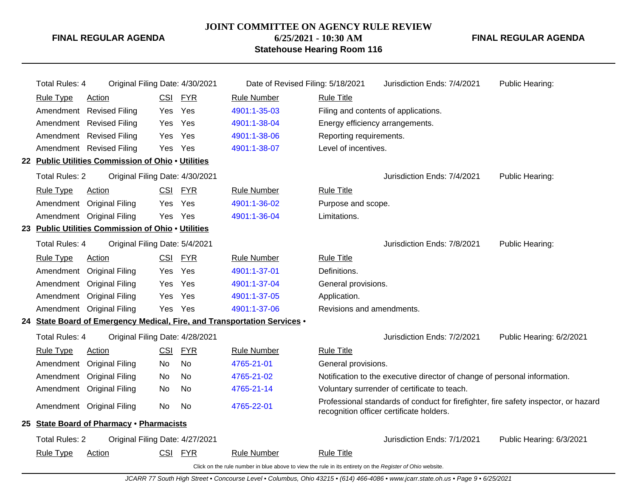#### **JOINT COMMITTEE ON AGENCY RULE REVIEW**

**6/25/2021 - 10:30 AM Statehouse Hearing Room 116** **FINAL REGULAR AGENDA**

| <b>Total Rules: 4</b> | Original Filing Date: 4/30/2021                    |            |            | Date of Revised Filing: 5/18/2021                                                                        |                                 | Jurisdiction Ends: 7/4/2021                                                                                                     | Public Hearing:          |
|-----------------------|----------------------------------------------------|------------|------------|----------------------------------------------------------------------------------------------------------|---------------------------------|---------------------------------------------------------------------------------------------------------------------------------|--------------------------|
| <b>Rule Type</b>      | Action                                             | <b>CSI</b> | <b>FYR</b> | <b>Rule Number</b>                                                                                       | <b>Rule Title</b>               |                                                                                                                                 |                          |
|                       | Amendment Revised Filing                           | Yes        | Yes        | 4901:1-35-03                                                                                             |                                 | Filing and contents of applications.                                                                                            |                          |
|                       | Amendment Revised Filing                           | <b>Yes</b> | Yes        | 4901:1-38-04                                                                                             | Energy efficiency arrangements. |                                                                                                                                 |                          |
|                       | Amendment Revised Filing                           | Yes        | Yes        | 4901:1-38-06                                                                                             | Reporting requirements.         |                                                                                                                                 |                          |
|                       | Amendment Revised Filing                           | Yes        | Yes        | 4901:1-38-07                                                                                             | Level of incentives.            |                                                                                                                                 |                          |
|                       | 22 Public Utilities Commission of Ohio . Utilities |            |            |                                                                                                          |                                 |                                                                                                                                 |                          |
| <b>Total Rules: 2</b> | Original Filing Date: 4/30/2021                    |            |            |                                                                                                          |                                 | Jurisdiction Ends: 7/4/2021                                                                                                     | Public Hearing:          |
| <b>Rule Type</b>      | Action                                             | CSI        | <u>FYR</u> | <b>Rule Number</b>                                                                                       | <b>Rule Title</b>               |                                                                                                                                 |                          |
| Amendment             | <b>Original Filing</b>                             | Yes        | Yes        | 4901:1-36-02                                                                                             | Purpose and scope.              |                                                                                                                                 |                          |
|                       | Amendment Original Filing                          |            | Yes Yes    | 4901:1-36-04                                                                                             | Limitations.                    |                                                                                                                                 |                          |
|                       | 23 Public Utilities Commission of Ohio . Utilities |            |            |                                                                                                          |                                 |                                                                                                                                 |                          |
| <b>Total Rules: 4</b> | Original Filing Date: 5/4/2021                     |            |            |                                                                                                          |                                 | Jurisdiction Ends: 7/8/2021                                                                                                     | Public Hearing:          |
| <b>Rule Type</b>      | Action                                             | <b>CSI</b> | <b>FYR</b> | <b>Rule Number</b>                                                                                       | <b>Rule Title</b>               |                                                                                                                                 |                          |
| Amendment             | <b>Original Filing</b>                             | Yes        | Yes        | 4901:1-37-01                                                                                             | Definitions.                    |                                                                                                                                 |                          |
| Amendment             | <b>Original Filing</b>                             | <b>Yes</b> | Yes        | 4901:1-37-04                                                                                             | General provisions.             |                                                                                                                                 |                          |
| Amendment             | <b>Original Filing</b>                             | Yes        | Yes        | 4901:1-37-05                                                                                             | Application.                    |                                                                                                                                 |                          |
|                       | Amendment Original Filing                          | Yes        | Yes        | 4901:1-37-06                                                                                             | Revisions and amendments.       |                                                                                                                                 |                          |
|                       |                                                    |            |            | 24 State Board of Emergency Medical, Fire, and Transportation Services .                                 |                                 |                                                                                                                                 |                          |
| <b>Total Rules: 4</b> | Original Filing Date: 4/28/2021                    |            |            |                                                                                                          |                                 | Jurisdiction Ends: 7/2/2021                                                                                                     | Public Hearing: 6/2/2021 |
| <b>Rule Type</b>      | Action                                             | <b>CSI</b> | <b>FYR</b> | <b>Rule Number</b>                                                                                       | <b>Rule Title</b>               |                                                                                                                                 |                          |
| Amendment             | <b>Original Filing</b>                             | No.        | <b>No</b>  | 4765-21-01                                                                                               | General provisions.             |                                                                                                                                 |                          |
| Amendment             | <b>Original Filing</b>                             | <b>No</b>  | <b>No</b>  | 4765-21-02                                                                                               |                                 | Notification to the executive director of change of personal information.                                                       |                          |
| Amendment             | <b>Original Filing</b>                             | No         | No         | 4765-21-14                                                                                               |                                 | Voluntary surrender of certificate to teach.                                                                                    |                          |
|                       | Amendment Original Filing                          | No.        | No         | 4765-22-01                                                                                               |                                 | Professional standards of conduct for firefighter, fire safety inspector, or hazard<br>recognition officer certificate holders. |                          |
|                       | 25 State Board of Pharmacy . Pharmacists           |            |            |                                                                                                          |                                 |                                                                                                                                 |                          |
| <b>Total Rules: 2</b> | Original Filing Date: 4/27/2021                    |            |            |                                                                                                          |                                 | Jurisdiction Ends: 7/1/2021                                                                                                     | Public Hearing: 6/3/2021 |
| <b>Rule Type</b>      | <b>Action</b>                                      |            | CSI FYR    | <b>Rule Number</b>                                                                                       | <b>Rule Title</b>               |                                                                                                                                 |                          |
|                       |                                                    |            |            | Click on the rule number in blue above to view the rule in its entirety on the Register of Ohio website. |                                 |                                                                                                                                 |                          |

JCARR 77 South High Street • Concourse Level • Columbus, Ohio 43215 • (614) 466-4086 • www.jcarr.state.oh.us • Page 9 • 6/25/2021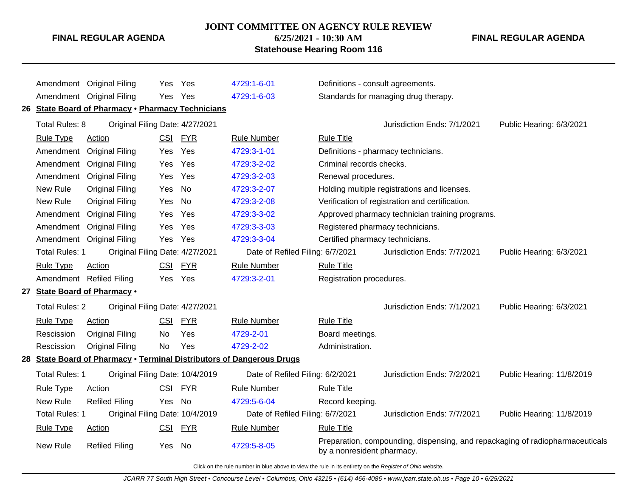# **JOINT COMMITTEE ON AGENCY RULE REVIEW**

**6/25/2021 - 10:30 AM Statehouse Hearing Room 116**

#### **FINAL REGULAR AGENDA**

|                       | Amendment Original Filing                         | <b>Yes</b> | Yes        | 4729:1-6-01                                                           | Definitions - consult agreements. |                                                                               |                           |
|-----------------------|---------------------------------------------------|------------|------------|-----------------------------------------------------------------------|-----------------------------------|-------------------------------------------------------------------------------|---------------------------|
|                       | Amendment Original Filing                         | Yes        | Yes        | 4729:1-6-03                                                           |                                   | Standards for managing drug therapy.                                          |                           |
|                       | 26 State Board of Pharmacy . Pharmacy Technicians |            |            |                                                                       |                                   |                                                                               |                           |
| Total Rules: 8        | Original Filing Date: 4/27/2021                   |            |            |                                                                       |                                   | Jurisdiction Ends: 7/1/2021                                                   | Public Hearing: 6/3/2021  |
| <b>Rule Type</b>      | <b>Action</b>                                     | <b>CSI</b> | <b>FYR</b> | <b>Rule Number</b>                                                    | <b>Rule Title</b>                 |                                                                               |                           |
| Amendment             | <b>Original Filing</b>                            | Yes        | Yes        | 4729:3-1-01                                                           |                                   | Definitions - pharmacy technicians.                                           |                           |
| Amendment             | <b>Original Filing</b>                            | Yes        | Yes        | 4729:3-2-02                                                           | Criminal records checks.          |                                                                               |                           |
|                       | Amendment Original Filing                         | Yes        | Yes        | 4729:3-2-03                                                           | Renewal procedures.               |                                                                               |                           |
| New Rule              | <b>Original Filing</b>                            | Yes        | <b>No</b>  | 4729:3-2-07                                                           |                                   | Holding multiple registrations and licenses.                                  |                           |
| New Rule              | <b>Original Filing</b>                            | Yes        | <b>No</b>  | 4729:3-2-08                                                           |                                   | Verification of registration and certification.                               |                           |
| Amendment             | <b>Original Filing</b>                            | Yes        | Yes        | 4729:3-3-02                                                           |                                   | Approved pharmacy technician training programs.                               |                           |
| Amendment             | <b>Original Filing</b>                            | Yes        | Yes        | 4729:3-3-03                                                           | Registered pharmacy technicians.  |                                                                               |                           |
|                       | Amendment Original Filing                         | Yes        | Yes        | 4729:3-3-04                                                           | Certified pharmacy technicians.   |                                                                               |                           |
| <b>Total Rules: 1</b> | Original Filing Date: 4/27/2021                   |            |            | Date of Refiled Filing: 6/7/2021                                      |                                   | Jurisdiction Ends: 7/7/2021                                                   | Public Hearing: 6/3/2021  |
| <b>Rule Type</b>      | Action                                            | CSI        | <b>FYR</b> | <b>Rule Number</b>                                                    | <b>Rule Title</b>                 |                                                                               |                           |
|                       | Amendment Refiled Filing                          | Yes.       | Yes        | 4729:3-2-01                                                           | Registration procedures.          |                                                                               |                           |
|                       | 27 State Board of Pharmacy .                      |            |            |                                                                       |                                   |                                                                               |                           |
| <b>Total Rules: 2</b> | Original Filing Date: 4/27/2021                   |            |            |                                                                       |                                   | Jurisdiction Ends: 7/1/2021                                                   | Public Hearing: 6/3/2021  |
| <b>Rule Type</b>      | Action                                            | <b>CSI</b> | <b>FYR</b> | <b>Rule Number</b>                                                    | <b>Rule Title</b>                 |                                                                               |                           |
| Rescission            | <b>Original Filing</b>                            | No         | Yes        | 4729-2-01                                                             | Board meetings.                   |                                                                               |                           |
| Rescission            | <b>Original Filing</b>                            | <b>No</b>  | Yes        | 4729-2-02                                                             | Administration.                   |                                                                               |                           |
|                       |                                                   |            |            | 28 State Board of Pharmacy . Terminal Distributors of Dangerous Drugs |                                   |                                                                               |                           |
| <b>Total Rules: 1</b> | Original Filing Date: 10/4/2019                   |            |            | Date of Refiled Filing: 6/2/2021                                      |                                   | Jurisdiction Ends: 7/2/2021                                                   | Public Hearing: 11/8/2019 |
| <b>Rule Type</b>      | <b>Action</b>                                     | CSI        | <b>FYR</b> | <b>Rule Number</b>                                                    | <b>Rule Title</b>                 |                                                                               |                           |
| New Rule              | <b>Refiled Filing</b>                             | Yes        | No         | 4729:5-6-04                                                           | Record keeping.                   |                                                                               |                           |
| <b>Total Rules: 1</b> | Original Filing Date: 10/4/2019                   |            |            | Date of Refiled Filing: 6/7/2021                                      |                                   | Jurisdiction Ends: 7/7/2021                                                   | Public Hearing: 11/8/2019 |
| <b>Rule Type</b>      | Action                                            | CSI        | <u>FYR</u> | <b>Rule Number</b>                                                    | <b>Rule Title</b>                 |                                                                               |                           |
| New Rule              | <b>Refiled Filing</b>                             | Yes        | - No       | 4729:5-8-05                                                           | by a nonresident pharmacy.        | Preparation, compounding, dispensing, and repackaging of radiopharmaceuticals |                           |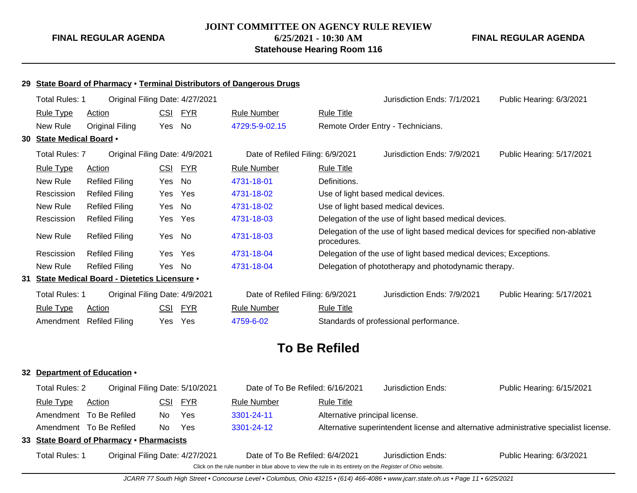# **JOINT COMMITTEE ON AGENCY RULE REVIEW 6/25/2021 - 10:30 AM Statehouse Hearing Room 116**

**FINAL REGULAR AGENDA**

#### **29 State Board of Pharmacy** • **Terminal Distributors of Dangerous Drugs**

| Total Rules: 1           | Original Filing Date: 4/27/2021                |            |            |                                  |                   | Jurisdiction Ends: 7/1/2021                                                     | Public Hearing: 6/3/2021  |
|--------------------------|------------------------------------------------|------------|------------|----------------------------------|-------------------|---------------------------------------------------------------------------------|---------------------------|
| <b>Rule Type</b>         | <b>Action</b>                                  | <u>CSI</u> | <u>FYR</u> | <b>Rule Number</b>               | <b>Rule Title</b> |                                                                                 |                           |
| New Rule                 | Original Filing                                | Yes        | No.        | 4729:5-9-02.15                   |                   | Remote Order Entry - Technicians.                                               |                           |
| 30 State Medical Board . |                                                |            |            |                                  |                   |                                                                                 |                           |
| <b>Total Rules: 7</b>    | Original Filing Date: 4/9/2021                 |            |            | Date of Refiled Filing: 6/9/2021 |                   | Jurisdiction Ends: 7/9/2021                                                     | Public Hearing: 5/17/2021 |
| <b>Rule Type</b>         | <b>Action</b>                                  | <u>CSI</u> | <u>FYR</u> | <b>Rule Number</b>               | <b>Rule Title</b> |                                                                                 |                           |
| New Rule                 | <b>Refiled Filing</b>                          | Yes        | No         | 4731-18-01                       | Definitions.      |                                                                                 |                           |
| Rescission               | <b>Refiled Filing</b>                          | Yes        | Yes        | 4731-18-02                       |                   | Use of light based medical devices.                                             |                           |
| New Rule                 | Refiled Filing                                 | Yes        | No         | 4731-18-02                       |                   | Use of light based medical devices.                                             |                           |
| Rescission               | <b>Refiled Filing</b>                          | Yes        | Yes        | 4731-18-03                       |                   | Delegation of the use of light based medical devices.                           |                           |
| New Rule                 | <b>Refiled Filing</b>                          | Yes        | No         | 4731-18-03                       | procedures.       | Delegation of the use of light based medical devices for specified non-ablative |                           |
| Rescission               | Refiled Filing                                 | Yes        | Yes        | 4731-18-04                       |                   | Delegation of the use of light based medical devices; Exceptions.               |                           |
| New Rule                 | <b>Refiled Filing</b>                          | Yes        | No         | 4731-18-04                       |                   | Delegation of phototherapy and photodynamic therapy.                            |                           |
|                          | 31 State Medical Board - Dietetics Licensure . |            |            |                                  |                   |                                                                                 |                           |
| Total Rules: 1           | Original Filing Date: 4/9/2021                 |            |            | Date of Refiled Filing: 6/9/2021 |                   | Jurisdiction Ends: 7/9/2021                                                     | Public Hearing: 5/17/2021 |
| <b>Rule Type</b>         | <b>Action</b>                                  | <u>CSI</u> | <b>FYR</b> | <b>Rule Number</b>               | <b>Rule Title</b> |                                                                                 |                           |
|                          | Amendment Refiled Filing                       | Yes        | Yes        | 4759-6-02                        |                   | Standards of professional performance.                                          |                           |

# **To Be Refiled**

#### **32 Department of Education** •

| <b>Total Rules: 2</b> | Original Filing Date: 5/10/2021          |     |         | Date of To Be Refiled: 6/16/2021                                                                         |                                | Jurisdiction Ends: | Public Hearing: 6/15/2021                                                             |
|-----------------------|------------------------------------------|-----|---------|----------------------------------------------------------------------------------------------------------|--------------------------------|--------------------|---------------------------------------------------------------------------------------|
| Rule Type             | Action                                   |     | CSI FYR | <b>Rule Number</b>                                                                                       | <b>Rule Title</b>              |                    |                                                                                       |
|                       | Amendment To Be Refiled                  | No. | Yes     | 3301-24-11                                                                                               | Alternative principal license. |                    |                                                                                       |
|                       | Amendment To Be Refiled                  | No. | Yes     | 3301-24-12                                                                                               |                                |                    | Alternative superintendent license and alternative administrative specialist license. |
|                       | 33 State Board of Pharmacy . Pharmacists |     |         |                                                                                                          |                                |                    |                                                                                       |
| <b>Total Rules: 1</b> | Original Filing Date: 4/27/2021          |     |         | Date of To Be Refiled: 6/4/2021                                                                          |                                | Jurisdiction Ends: | Public Hearing: 6/3/2021                                                              |
|                       |                                          |     |         | Click on the rule number in blue above to view the rule in its entirety on the Register of Ohio website. |                                |                    |                                                                                       |

JCARR 77 South High Street • Concourse Level • Columbus, Ohio 43215 • (614) 466-4086 • www.jcarr.state.oh.us • Page 11 • 6/25/2021